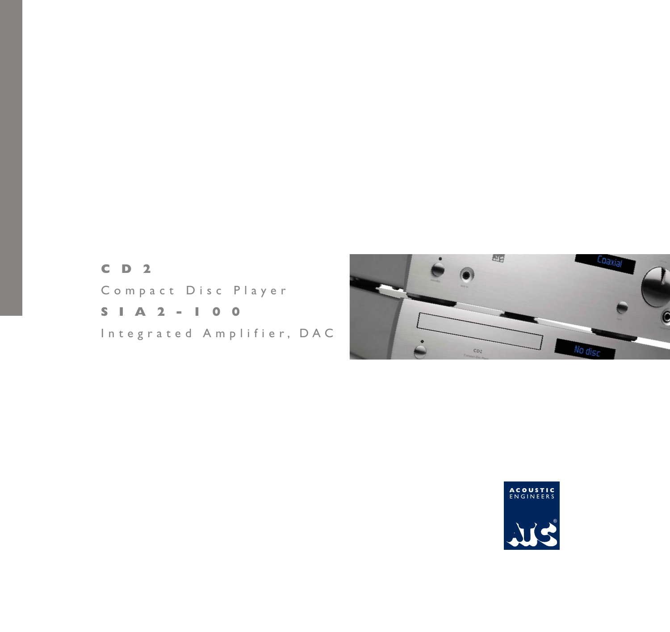# **CD2**  Compact Disc Player **SIA2-100**

Integrated Amplifier, DAC



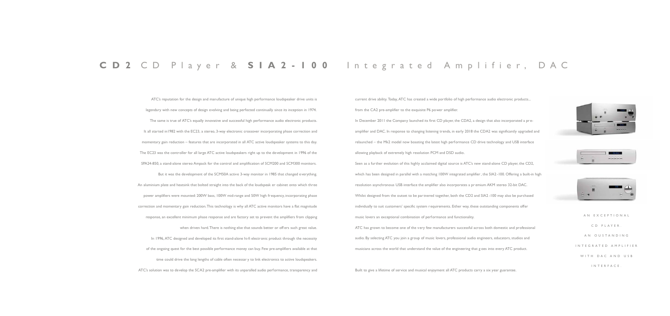| AN EXCEPTIONAL       |
|----------------------|
| CD PLAYER.           |
| AN OUSTANDING        |
| INTEGRATED AMPLIFIER |
| WITH DAC AND USB     |
| INTERFACE.           |

## **CD2** CD Player & **SIA2-100** Integrated Amplifier, DAC

ATC's reputation for the design and manufacture of unique high performance loudspeaker drive units is legendary with new concepts of design evolving and being perfected continually since its inception in 1974. The same is true of ATC's equally innovative and successful high performance audio electronic products. It all started in1982 with the EC23, a stereo, 3-way electronic crossover incorporating phase correction and momentary gain reduction – features that are incorporated in all ATC active loudspeaker systems to this day. The EC23 was the controller for all large ATC active loudspeakers right up to the development in 1996 of the SPA24-850, a stand-alone stereo Ampack for the control and amplification of SCM200 and SCM300 monitors. But it was the development of the SCM50A active 3-way monitor in 1985 that changed everything. An aluminium plate and heatsink that bolted straight into the back of the loudspeak er cabinet onto which three power amplifiers were mounted: 200W bass, 100W mid-range and 50W high frequency, incorporating phase correction and momentary gain reduction. This technology is why all ATC active monitors have a flat magnitude response, an excellent minimum phase response and are factory set to prevent the amplifiers from clipping when driven hard. There is nothing else that sounds better or off ers such great value. In 1996, ATC designed and developed its first stand-alone hi-fi electronic product through the necessity of the ongoing quest for the best possible performance money can buy. Few pre-amplifiers available at that time could drive the long lengths of cable often necessar y to link electronics to active loudspeakers. ATC's solution was to develop the SCA2 pre-amplifier with its unparalled audio performance, transparency and

In December 2011 the Company launched its first CD player, the CDA2, a design that also incorporated a preamplifier and DAC. In response to changing listening trends, in early 2018 the CDA2 was significantly upgraded and relaunched – the Mk2 model now boasting the latest high performance CD drive technology and USB interface allowing playback of extremely high resolution PCM and DSD audio.

current drive ability. Today, ATC has created a wide portfolio of high performance audio electronic products... from the CA2 pre-amplifier to the exquisite P6 power amplifier.

Seen as a further evolution of this highly acclaimed digital source is ATC's new stand-alone CD player, the CD2, which has been designed in parallel with a matching 100W integrated amplifier , the SIA2-100. Offering a built-in high resolution asynchronous USB interface the amplifier also incorporates a pr emium AKM stereo 32-bit DAC. Whilst designed from the outset to be partnered together, both the CD2 and SIA2 -100 may also be purchased individually to suit customers' specific system requirements. Either way, these outstanding components offer music lovers an exceptional combination of performance and functionality. ATC has grown to become one of the very few manufacturers successful across both domestic and professional audio. By selecting ATC you join a group of music lovers, professional audio engineers, educators, studios and musicians across the world that understand the value of the engineering that g oes into every ATC product.

Built to give a lifetime of service and musical enjoyment all ATC products carry a six year guarantee.





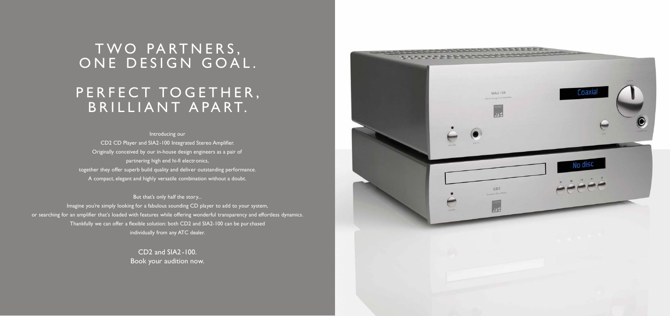# TWO PARTNERS, ONE DESIGN GOAL.

# PERFECT TOGETHER, BRILLIANT APART.

Introducing our CD2 CD Player and SIA2-100 Integrated Stereo Amplifier. Originally conceived by our in-house design engineers as a pair of partnering high end hi-fi electronics, together they offer superb build quality and deliver outstanding performance. A compact, elegant and highly versatile combination without a doubt.

But that's only half the story...

Imagine you're simply looking for a fabulous sounding CD player to add to your system, or searching for an amplifier that's loaded with features while offering wonderful transparency and effortless dynamics. Thankfully we can offer a flexible solution: both CD2 and SIA2-100 can be pur chased individually from any ATC dealer.

> CD2 and SIA2-100. Book your audition now.

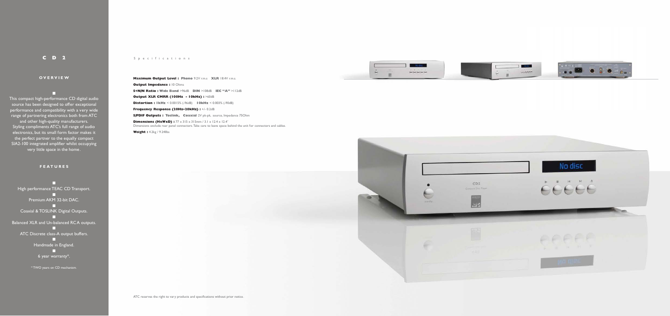### **CD2** Specifications

#### **OVERVIEW**

n This compact high-performance CD digital audio source has been designed to offer exceptional performance and compatibility with a very wide range of partnering electronics both from ATC and other high-quality manufacturers. Styling compliments ATC's full range of audio electronics, but its small form factor makes it the perfect partner to the equally compact SIA2-100 integrated amplifier whilst occupying very little space in the home.

**Maximum Output Level : Phono** 9.2V r.m.s **XLR** 18.4V r.m.s. **Output Impedance : 10 Ohms S+N/N Ratio : Wide Band** >96dB **DIN** >108dB **IEC "A"** >112dB **Output XLR CMRR (100Hz - 10kHz) :** >60dB **Distortion : 1kHz** < 0.0015% (-96dB) **10kHz** < 0.003% (-90dB) **Frequency Response (20Hz–20kHz) :** +/- 0.2dB **S/PDIF Outputs : Toslink, Coaxial** 2V pk-pk, source, Impedance 75Ohm **Dimensions (HxWxD) :**  $77 \times 315 \times 315$  mm /  $3.1 \times 12.4 \times 12.4$ <sup>"</sup>

#### **FEATURES**

n High performance TEAC CD Transport. n Premium AKM 32-bit DAC. n Coaxial & TOSLINK Digital Outputs. n Balanced XLR and Un-balanced RCA outputs. n ATC Discrete class-A output buffers. n Handmade in England. n 6 year warranty\*.

\* TWO years on CD mechanism.

Dimensions exclude rear panel connectors. Take care to leave space behind the unit for connectors and cables.

**Weight :** 4.2kg / 9.24Ilbs



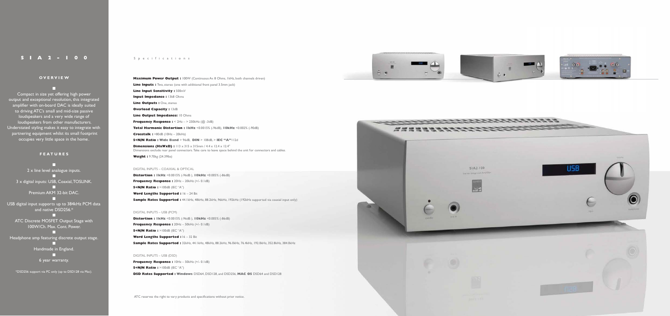#### SIA2 - 100 Specifications

### **OVERVIEW** n

Compact in size yet offering high power output and exceptional resolution, this integrated amplifier with on-board DAC is ideally suited to driving ATC's small and mid-size passive loudspeakers and a very wide range of loudspeakers from other manufacturers. Understated styling makes it easy to integrate with partnering equipment whilst its small footprint occupies very little space in the home.

ATC Discrete MOSFET Output Stage with 100W/Ch. Max. Cont. Power.

#### **FEATURES**

n 2 x line level analogue inputs. n 3 x digital inputs: USB, Coaxial, TOSLINK. n

> Premium AKM 32-bit DAC. n

USB digital input supports up to 384kHz PCM data and native DSD256.\* n

n Headphone amp featuring discrete output stage.

> n Handmade in England.

**Dimensions (HxWxD) :**  $113 \times 315 \times 315$  mm /  $4.4 \times 12.4 \times 12.4$ " Dimensions exclude rear panel connectors. Take care to leave space behind the unit for connectors and cables. **Weight :** 9.70kg (24.39lbs)

n 6 year warranty. **Distortion : 1kHz** <0.0015% (-96dB ), **10kHz** <0.005% (-86dB) **Frequency Response : 20Hz - 20kHz (+/- 0.1dB) S+N/N Ratio :** >100dB (IEC "A") Word Lengths Supported : 16 - 24 Bit **Sample Rates Supported : 44.**1kHz, 48kHz, 88.2kHz, 96kHz, 192kHz (192kHz supported via coaxial input only)

\*DSD256 support via PC only (up to DSD128 via Mac).

**Maximum Power Output : 100W (Continuous Av. 8 Ohms, 1kHz, both channels driven) Line Inputs :** Two, stereo (one with additional front panel 3.5mm jack) **Line Input Sensitivity :** 500mV **Input Impedance : 13k8 Ohms** 

**Line Outputs : One, stereo** 

**Overload Capacity : 13dB** 

**Line Output Impedance: 10 Ohms** 

**Frequency Response :**  $< 2Hz - > 250kHz$  ( $@.-3dB$ )

**Frequency Response :** 10Hz – 50kHz (+/- 0.1dB) **S+N/N Ratio :** >100dB (IEC "A") **DSD Rates Supported : Windows** DSD64, DSD128, and DSD256, MAC OS DSD64 and DSD128

**Total Harmonic Distortion : 1kHz** <0.0015% (-96dB), **10kHz** <0.002% (-90dB)

**Crosstalk :** >80dB (10Hz – 20kHz)

**S+N/N Ratio : Wide Band** > 96dB, **DIN** > 108dB, > **IEC "A"**112d

#### DIGITAL INPUTS – COAXIAL & OPTICAL

#### DIGITAL INPUTS – USB (PCM)

**Distortion : 1kHz** <0.0015% (-96dB ), **10kHz** <0.005% (-86dB) **Frequency Response :** 20Hz – 50kHz (+/- 0.1dB) **S+N/N Ratio :** >100dB (IEC "A") **Word Lengths Supported :** 16 – 32 Bit **Sample Rates Supported :** 32kHz, 44.1kHz, 48kHz, 88.2kHz, 96.0kHz, 76.4kHz, 192.0kHz, 352.8kHz, 384.0kHz

#### DIGITAL INPUTS – USB (DSD)

ATC reserves the right to vary products and specifications without prior notice.





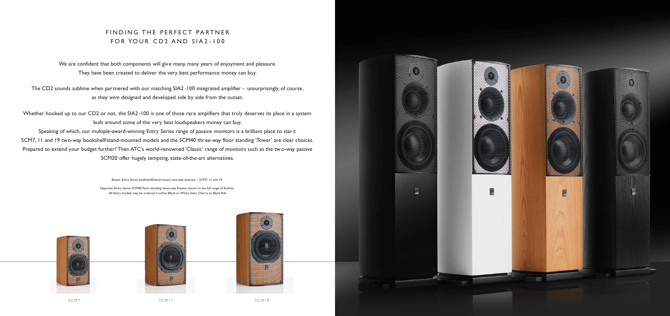## FINDING THE PERFECT PARTNER FOR YOUR CD2 AND SIA2 -100

We are confident that both components will give many, many years of enjoyment and pleasure. They have been created to deliver the very best performance money can buy.

The CD2 sounds sublime when par tnered with our matching SIA2 -100 integrated amplifier – unsurprisingly, of course, as they *were* designed and developed side by side from the outset.

Whether hooked up to our CD2 or not, the SIA2-100 is one of those rare amplifiers that truly deserves its place in a system built around some of the very best loudspeakers money can buy. Speaking of which, our multiple-award-winning Entry Series range of passive monitors is a brilliant place to star t: SCM7, 11 and 19 two-way bookshelf/stand-mounted models and the SCM40 three-way floor standing 'Tower' are clear choices. Prepared to extend your budget further? Then ATC's world-renowned 'Classic' range of monitors such as the tw o-way passive SCM20 offer hugely tempting, state-of-the-art alternatives.





Below: Entry Series bookshelf/stand-mount two-way passives – SCM7, 11 and 19.

Opposite: Entry Series SCM40 floor-standing three-way Passive, shown in the full range of finishes. All Entry models may be ordered in either Black or White Satin, Cherry or Black Ash